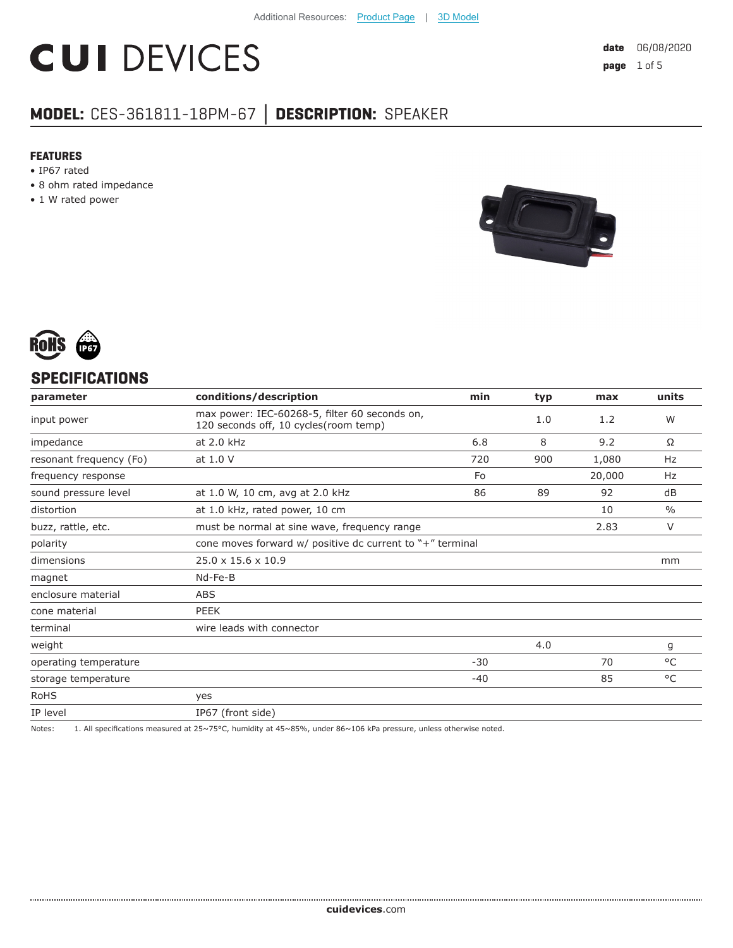# **CUI DEVICES**

## **MODEL:** CES-361811-18PM-67 **│ DESCRIPTION:** SPEAKER

#### **FEATURES**

- IP67 rated
- 8 ohm rated impedance
- 1 W rated power





#### **SPECIFICATIONS**

| conditions/description                                                                 | min   | typ                                                         | max    | units         |
|----------------------------------------------------------------------------------------|-------|-------------------------------------------------------------|--------|---------------|
| max power: IEC-60268-5, filter 60 seconds on,<br>120 seconds off, 10 cycles(room temp) |       | 1.0                                                         | 1.2    | W             |
| at 2.0 kHz                                                                             | 6.8   | 8                                                           | 9.2    | Ω             |
| at 1.0 V                                                                               | 720   | 900                                                         | 1,080  | Hz            |
|                                                                                        | Fo    |                                                             | 20,000 | Hz            |
| at 1.0 W, 10 cm, avg at 2.0 kHz                                                        | 86    | 89                                                          | 92     | dB            |
| at 1.0 kHz, rated power, 10 cm                                                         |       |                                                             | 10     | $\frac{0}{0}$ |
| must be normal at sine wave, frequency range                                           |       |                                                             | 2.83   | V             |
|                                                                                        |       |                                                             |        |               |
| $25.0 \times 15.6 \times 10.9$                                                         |       |                                                             |        | mm            |
| Nd-Fe-B                                                                                |       |                                                             |        |               |
| <b>ABS</b>                                                                             |       |                                                             |        |               |
| PEEK                                                                                   |       |                                                             |        |               |
| wire leads with connector                                                              |       |                                                             |        |               |
|                                                                                        |       | 4.0                                                         |        | g             |
|                                                                                        | $-30$ |                                                             | 70     | °C            |
|                                                                                        | -40   |                                                             | 85     | °C            |
| yes                                                                                    |       |                                                             |        |               |
| IP67 (front side)                                                                      |       |                                                             |        |               |
|                                                                                        |       | cone moves forward $w/$ positive dc current to "+" terminal |        |               |

Notes: 1. All specifications measured at 25~75°C, humidity at 45~85%, under 86~106 kPa pressure, unless otherwise noted.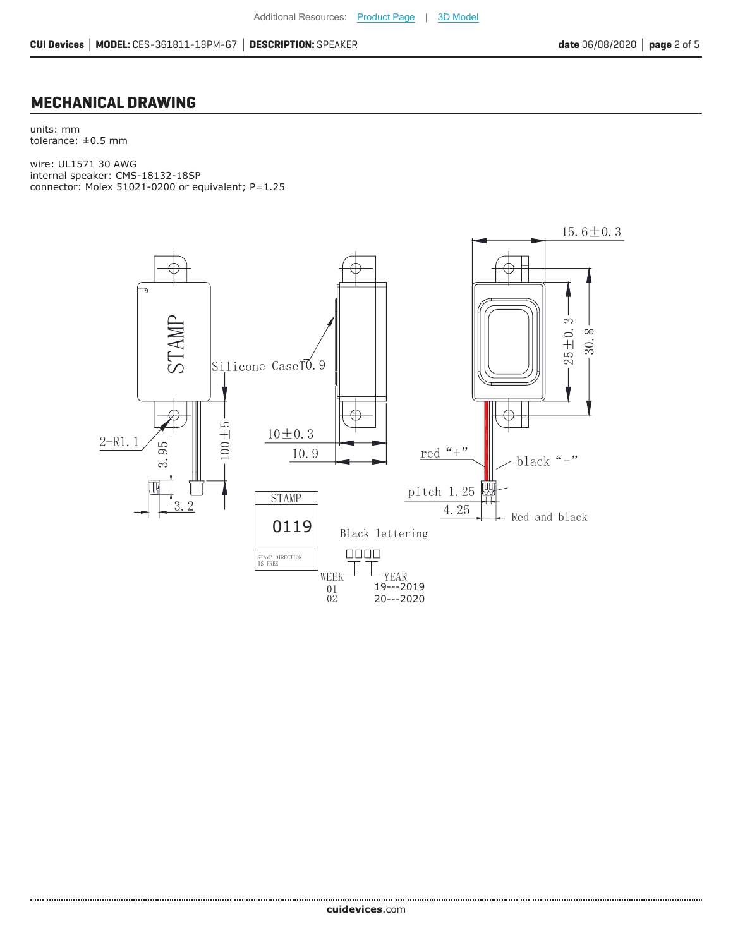#### **MECHANICAL DRAWING**

units: mm tolerance:  $\pm 0.5$  mm

wire: UL1571 30 AWG internal speaker: CMS-18132-18SP connector: Molex 51021-0200 or equivalent; P=1.25

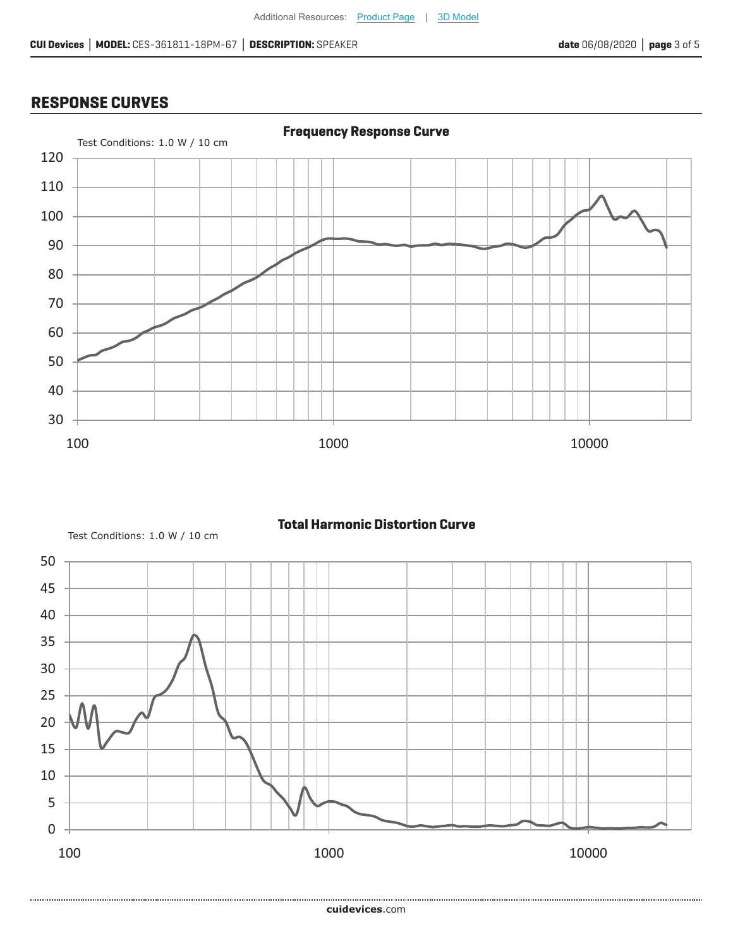### **RESPONSE CURVES**



**Total Harmonic Distortion Curve**

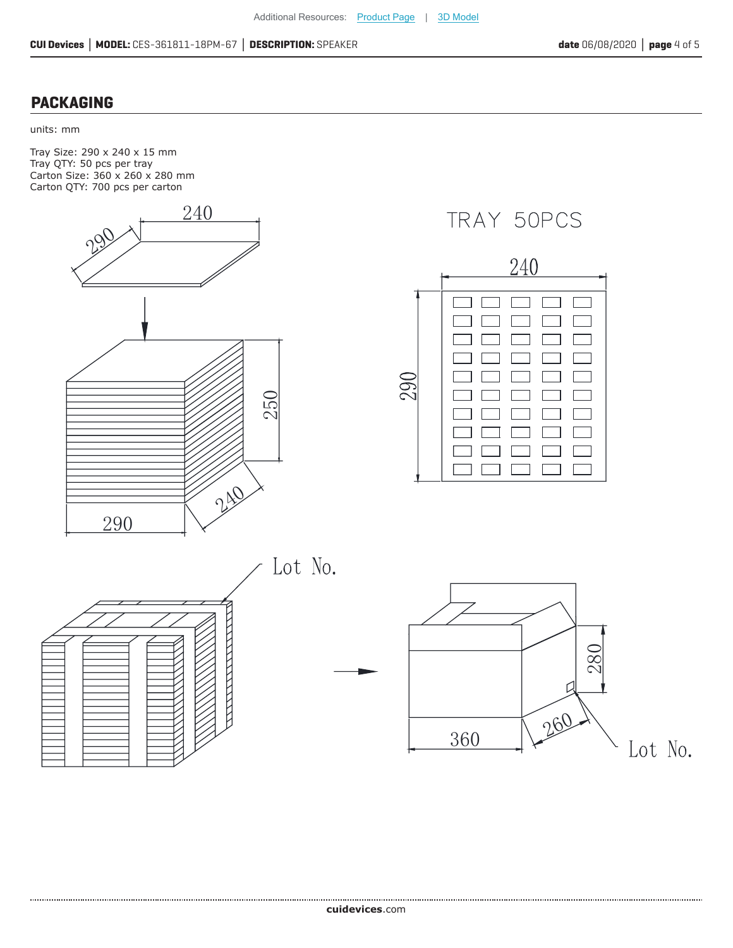#### **PACKAGING**

#### units: mm

Tray Size: 290 x 240 x 15 mm Tray QTY: 50 pcs per tray Carton Size: 360 x 260 x 280 mm Carton QTY: 700 pcs per carton